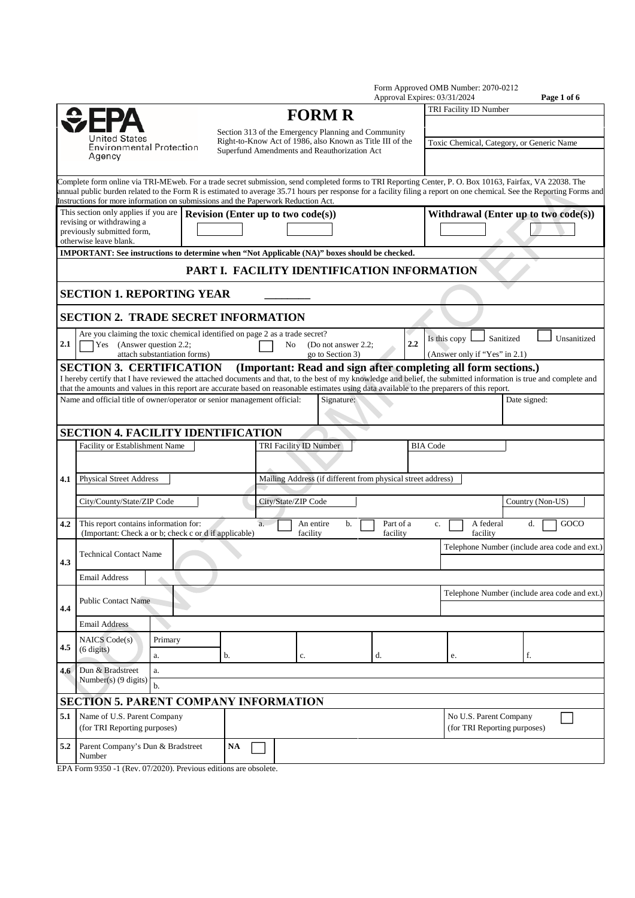|                                                                    |                                                                                                                                                                                                                                                                                                                                                                                                                          |                                           |           |    |                                                                                                                                                                  |                       | Approval Expires: 03/31/2024         |                                                        |                               |                                           | Page 1 of 6 |                                               |
|--------------------------------------------------------------------|--------------------------------------------------------------------------------------------------------------------------------------------------------------------------------------------------------------------------------------------------------------------------------------------------------------------------------------------------------------------------------------------------------------------------|-------------------------------------------|-----------|----|------------------------------------------------------------------------------------------------------------------------------------------------------------------|-----------------------|--------------------------------------|--------------------------------------------------------|-------------------------------|-------------------------------------------|-------------|-----------------------------------------------|
|                                                                    |                                                                                                                                                                                                                                                                                                                                                                                                                          |                                           |           |    | <b>FORM R</b>                                                                                                                                                    |                       |                                      |                                                        | TRI Facility ID Number        |                                           |             |                                               |
|                                                                    | United States<br><b>Environmental Protection</b><br>Agency                                                                                                                                                                                                                                                                                                                                                               |                                           |           |    | Section 313 of the Emergency Planning and Community<br>Right-to-Know Act of 1986, also Known as Title III of the<br>Superfund Amendments and Reauthorization Act |                       |                                      |                                                        |                               | Toxic Chemical, Category, or Generic Name |             |                                               |
|                                                                    | Complete form online via TRI-MEweb. For a trade secret submission, send completed forms to TRI Reporting Center, P. O. Box 10163, Fairfax, VA 22038. The<br>annual public burden related to the Form R is estimated to average 35.71 hours per response for a facility filing a report on one chemical. See the Reporting Forms and<br>Instructions for more information on submissions and the Paperwork Reduction Act. |                                           |           |    |                                                                                                                                                                  |                       |                                      |                                                        |                               |                                           |             |                                               |
|                                                                    | This section only applies if you are<br>revising or withdrawing a<br>previously submitted form,<br>otherwise leave blank.                                                                                                                                                                                                                                                                                                | <b>Revision (Enter up to two code(s))</b> |           |    |                                                                                                                                                                  |                       | Withdrawal (Enter up to two code(s)) |                                                        |                               |                                           |             |                                               |
|                                                                    | IMPORTANT: See instructions to determine when "Not Applicable (NA)" boxes should be checked.                                                                                                                                                                                                                                                                                                                             |                                           |           |    |                                                                                                                                                                  |                       |                                      |                                                        |                               |                                           |             |                                               |
|                                                                    |                                                                                                                                                                                                                                                                                                                                                                                                                          |                                           |           |    | PART I. FACILITY IDENTIFICATION INFORMATION                                                                                                                      |                       |                                      |                                                        |                               |                                           |             |                                               |
|                                                                    | <b>SECTION 1. REPORTING YEAR</b>                                                                                                                                                                                                                                                                                                                                                                                         |                                           |           |    |                                                                                                                                                                  |                       |                                      |                                                        |                               |                                           |             |                                               |
|                                                                    | <b>SECTION 2. TRADE SECRET INFORMATION</b>                                                                                                                                                                                                                                                                                                                                                                               |                                           |           |    |                                                                                                                                                                  |                       |                                      |                                                        |                               |                                           |             |                                               |
| 2.1                                                                | Are you claiming the toxic chemical identified on page 2 as a trade secret?<br>Yes (Answer question 2.2;                                                                                                                                                                                                                                                                                                                 |                                           |           | No | (Do not answer 2.2:                                                                                                                                              |                       | 2.2                                  | Is this copy                                           |                               | Sanitized                                 |             | Unsanitized                                   |
|                                                                    | attach substantiation forms)                                                                                                                                                                                                                                                                                                                                                                                             |                                           |           |    | go to Section 3)                                                                                                                                                 |                       |                                      |                                                        | (Answer only if "Yes" in 2.1) |                                           |             |                                               |
|                                                                    | <b>SECTION 3. CERTIFICATION</b><br>I hereby certify that I have reviewed the attached documents and that, to the best of my knowledge and belief, the submitted information is true and complete and                                                                                                                                                                                                                     |                                           |           |    | (Important: Read and sign after completing all form sections.)                                                                                                   |                       |                                      |                                                        |                               |                                           |             |                                               |
|                                                                    | that the amounts and values in this report are accurate based on reasonable estimates using data available to the preparers of this report.                                                                                                                                                                                                                                                                              |                                           |           |    |                                                                                                                                                                  |                       |                                      |                                                        |                               |                                           |             |                                               |
|                                                                    | Name and official title of owner/operator or senior management official:                                                                                                                                                                                                                                                                                                                                                 |                                           |           |    | Signature:                                                                                                                                                       |                       |                                      |                                                        |                               | Date signed:                              |             |                                               |
|                                                                    |                                                                                                                                                                                                                                                                                                                                                                                                                          |                                           |           |    |                                                                                                                                                                  |                       |                                      |                                                        |                               |                                           |             |                                               |
|                                                                    | <b>SECTION 4. FACILITY IDENTIFICATION</b>                                                                                                                                                                                                                                                                                                                                                                                |                                           |           |    |                                                                                                                                                                  |                       |                                      |                                                        |                               |                                           |             |                                               |
|                                                                    | Facility or Establishment Name                                                                                                                                                                                                                                                                                                                                                                                           |                                           |           |    | TRI Facility ID Number                                                                                                                                           |                       | <b>BIA Code</b>                      |                                                        |                               |                                           |             |                                               |
| 4.1                                                                | <b>Physical Street Address</b>                                                                                                                                                                                                                                                                                                                                                                                           |                                           |           |    | Mailing Address (if different from physical street address)                                                                                                      |                       |                                      |                                                        |                               |                                           |             |                                               |
|                                                                    |                                                                                                                                                                                                                                                                                                                                                                                                                          |                                           |           |    |                                                                                                                                                                  |                       |                                      |                                                        |                               |                                           |             |                                               |
|                                                                    | City/County/State/ZIP Code                                                                                                                                                                                                                                                                                                                                                                                               |                                           |           |    | City/State/ZIP Code                                                                                                                                              |                       |                                      |                                                        |                               | Country (Non-US)                          |             |                                               |
| 4.2                                                                | This report contains information for:<br>(Important: Check a or b; check c or d if applicable)                                                                                                                                                                                                                                                                                                                           |                                           | a.        |    | An entire<br>b.<br>facility                                                                                                                                      | Part of a<br>facility | c.                                   |                                                        | A federal<br>facility         | d.                                        |             | GOCO                                          |
|                                                                    | <b>Technical Contact Name</b>                                                                                                                                                                                                                                                                                                                                                                                            |                                           |           |    |                                                                                                                                                                  |                       |                                      |                                                        |                               |                                           |             | Telephone Number (include area code and ext.) |
| 4.3                                                                |                                                                                                                                                                                                                                                                                                                                                                                                                          |                                           |           |    |                                                                                                                                                                  |                       |                                      |                                                        |                               |                                           |             |                                               |
|                                                                    | <b>Email Address</b>                                                                                                                                                                                                                                                                                                                                                                                                     |                                           |           |    |                                                                                                                                                                  |                       |                                      |                                                        |                               |                                           |             |                                               |
|                                                                    | <b>Public Contact Name</b>                                                                                                                                                                                                                                                                                                                                                                                               |                                           |           |    |                                                                                                                                                                  |                       |                                      |                                                        |                               |                                           |             | Telephone Number (include area code and ext.) |
| 4.4                                                                | <b>Email Address</b>                                                                                                                                                                                                                                                                                                                                                                                                     |                                           |           |    |                                                                                                                                                                  |                       |                                      |                                                        |                               |                                           |             |                                               |
|                                                                    | NAICS Code(s)<br>Primary                                                                                                                                                                                                                                                                                                                                                                                                 |                                           |           |    |                                                                                                                                                                  |                       |                                      |                                                        |                               |                                           |             |                                               |
| 4.5                                                                | $(6 \text{ digits})$<br>a.                                                                                                                                                                                                                                                                                                                                                                                               |                                           | b.        |    | c.                                                                                                                                                               | d.                    |                                      | e.                                                     |                               | f.                                        |             |                                               |
| 4.6                                                                | Dun & Bradstreet<br>a.                                                                                                                                                                                                                                                                                                                                                                                                   |                                           |           |    |                                                                                                                                                                  |                       |                                      |                                                        |                               |                                           |             |                                               |
|                                                                    | Number(s) (9 digits)<br>b.                                                                                                                                                                                                                                                                                                                                                                                               |                                           |           |    |                                                                                                                                                                  |                       |                                      |                                                        |                               |                                           |             |                                               |
|                                                                    | <b>SECTION 5. PARENT COMPANY INFORMATION</b>                                                                                                                                                                                                                                                                                                                                                                             |                                           |           |    |                                                                                                                                                                  |                       |                                      |                                                        |                               |                                           |             |                                               |
| Name of U.S. Parent Company<br>5.1<br>(for TRI Reporting purposes) |                                                                                                                                                                                                                                                                                                                                                                                                                          |                                           |           |    |                                                                                                                                                                  |                       |                                      | No U.S. Parent Company<br>(for TRI Reporting purposes) |                               |                                           |             |                                               |
| 5.2                                                                | Parent Company's Dun & Bradstreet<br>Number                                                                                                                                                                                                                                                                                                                                                                              |                                           | <b>NA</b> |    |                                                                                                                                                                  |                       |                                      |                                                        |                               |                                           |             |                                               |

Form Approved OMB Number: 2070-0212

EPA Form 9350 -1 (Rev. 07/2020). Previous editions are obsolete.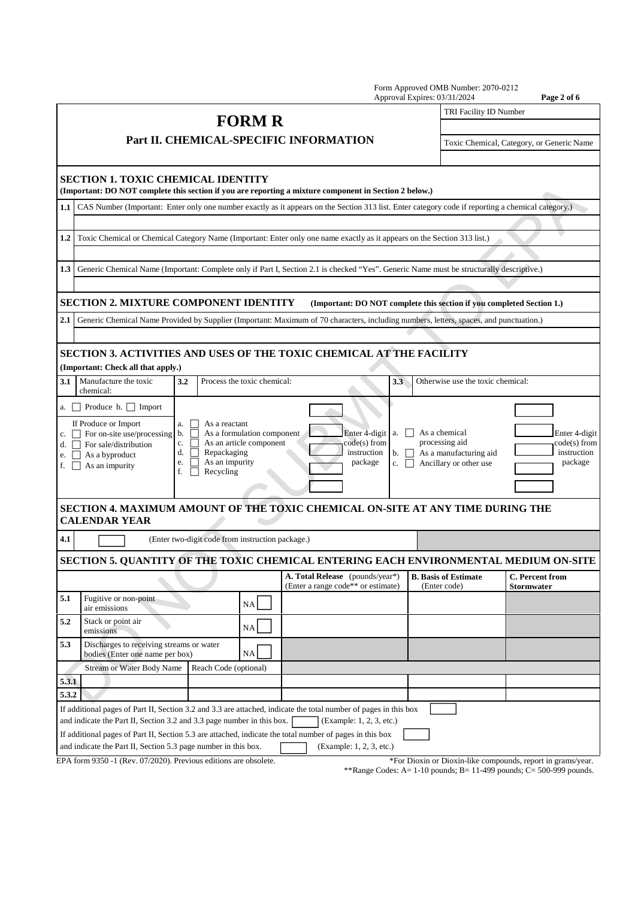|                          |                                                                                                                                                                                      |                                                             |                                                       |                                                                                                                                          | Form Approved OMB Number: 2070-0212<br>Approval Expires: 03/31/2024                                                 | Page 2 of 6                                                 |  |  |
|--------------------------|--------------------------------------------------------------------------------------------------------------------------------------------------------------------------------------|-------------------------------------------------------------|-------------------------------------------------------|------------------------------------------------------------------------------------------------------------------------------------------|---------------------------------------------------------------------------------------------------------------------|-------------------------------------------------------------|--|--|
|                          |                                                                                                                                                                                      |                                                             | <b>FORM R</b>                                         |                                                                                                                                          | TRI Facility ID Number                                                                                              |                                                             |  |  |
|                          |                                                                                                                                                                                      |                                                             |                                                       |                                                                                                                                          |                                                                                                                     |                                                             |  |  |
|                          |                                                                                                                                                                                      |                                                             |                                                       | Part II. CHEMICAL-SPECIFIC INFORMATION                                                                                                   |                                                                                                                     | Toxic Chemical, Category, or Generic Name                   |  |  |
|                          | <b>SECTION 1. TOXIC CHEMICAL IDENTITY</b>                                                                                                                                            |                                                             |                                                       | (Important: DO NOT complete this section if you are reporting a mixture component in Section 2 below.)                                   |                                                                                                                     |                                                             |  |  |
| 1.1                      | CAS Number (Important: Enter only one number exactly as it appears on the Section 313 list. Enter category code if reporting a chemical category.)                                   |                                                             |                                                       |                                                                                                                                          |                                                                                                                     |                                                             |  |  |
|                          |                                                                                                                                                                                      |                                                             |                                                       |                                                                                                                                          |                                                                                                                     |                                                             |  |  |
| $1.2\phantom{0}$         | Toxic Chemical or Chemical Category Name (Important: Enter only one name exactly as it appears on the Section 313 list.)                                                             |                                                             |                                                       |                                                                                                                                          |                                                                                                                     |                                                             |  |  |
| 1.3                      |                                                                                                                                                                                      |                                                             |                                                       | Generic Chemical Name (Important: Complete only if Part I, Section 2.1 is checked "Yes". Generic Name must be structurally descriptive.) |                                                                                                                     |                                                             |  |  |
|                          |                                                                                                                                                                                      |                                                             |                                                       |                                                                                                                                          |                                                                                                                     |                                                             |  |  |
|                          | <b>SECTION 2. MIXTURE COMPONENT IDENTITY</b>                                                                                                                                         |                                                             |                                                       | (Important: DO NOT complete this section if you completed Section 1.)                                                                    |                                                                                                                     |                                                             |  |  |
| 2.1                      |                                                                                                                                                                                      |                                                             |                                                       | Generic Chemical Name Provided by Supplier (Important: Maximum of 70 characters, including numbers, letters, spaces, and punctuation.)   |                                                                                                                     |                                                             |  |  |
|                          |                                                                                                                                                                                      |                                                             |                                                       |                                                                                                                                          |                                                                                                                     |                                                             |  |  |
|                          | (Important: Check all that apply.)                                                                                                                                                   |                                                             |                                                       | <b>SECTION 3. ACTIVITIES AND USES OF THE TOXIC CHEMICAL AT THE FACILITY</b>                                                              |                                                                                                                     |                                                             |  |  |
| 3.1                      | Manufacture the toxic<br>3.2<br>chemical:                                                                                                                                            |                                                             | Process the toxic chemical:                           | 3.3                                                                                                                                      | Otherwise use the toxic chemical:                                                                                   |                                                             |  |  |
|                          | a. $\Box$ Produce b. $\Box$ Import                                                                                                                                                   |                                                             |                                                       |                                                                                                                                          |                                                                                                                     |                                                             |  |  |
| e. $\vert \ \vert$<br>f. | If Produce or Import<br>a.<br>c. $\Box$ For on-site use/processing b.<br>c.<br>d. $\Box$ For sale/distribution<br>d.<br>As a byproduct<br>e.<br>As an impurity<br>$\mathbf{1}$<br>f. | As a reactant<br>Repackaging<br>As an impurity<br>Recycling | As a formulation component<br>As an article component | Enter 4-digit a. D<br>$code(s)$ from<br>instruction<br>package                                                                           | As a chemical<br>processing aid<br>As a manufacturing aid<br>$b.$    <br>Ancillary or other use<br>c. $\vert \vert$ | Enter 4-digit<br>code(s) from<br>instruction<br>package     |  |  |
|                          | <b>CALENDAR YEAR</b>                                                                                                                                                                 |                                                             |                                                       | SECTION 4. MAXIMUM AMOUNT OF THE TOXIC CHEMICAL ON-SITE AT ANY TIME DURING THE                                                           |                                                                                                                     |                                                             |  |  |
| 4.1                      |                                                                                                                                                                                      | (Enter two-digit code from instruction package.)            |                                                       |                                                                                                                                          |                                                                                                                     |                                                             |  |  |
|                          |                                                                                                                                                                                      |                                                             |                                                       | SECTION 5. QUANTITY OF THE TOXIC CHEMICAL ENTERING EACH ENVIRONMENTAL MEDIUM ON-SITE                                                     |                                                                                                                     |                                                             |  |  |
|                          |                                                                                                                                                                                      |                                                             |                                                       | A. Total Release (pounds/year*)<br>(Enter a range code** or estimate)                                                                    | <b>B.</b> Basis of Estimate<br>(Enter code)                                                                         | C. Percent from<br>Stormwater                               |  |  |
| 5.1                      | Fugitive or non-point<br>air emissions                                                                                                                                               |                                                             | NA                                                    |                                                                                                                                          |                                                                                                                     |                                                             |  |  |
| 5.2                      | Stack or point air<br>emissions                                                                                                                                                      |                                                             | NA                                                    |                                                                                                                                          |                                                                                                                     |                                                             |  |  |
| 5.3                      | Discharges to receiving streams or water<br>bodies (Enter one name per box)                                                                                                          |                                                             | NA                                                    |                                                                                                                                          |                                                                                                                     |                                                             |  |  |
|                          | <b>Stream or Water Body Name</b>                                                                                                                                                     | Reach Code (optional)                                       |                                                       |                                                                                                                                          |                                                                                                                     |                                                             |  |  |
| 5.3.1                    |                                                                                                                                                                                      |                                                             |                                                       |                                                                                                                                          |                                                                                                                     |                                                             |  |  |
| 5.3.2                    |                                                                                                                                                                                      |                                                             |                                                       |                                                                                                                                          |                                                                                                                     |                                                             |  |  |
|                          |                                                                                                                                                                                      |                                                             |                                                       | If additional pages of Part II, Section 3.2 and 3.3 are attached, indicate the total number of pages in this box                         |                                                                                                                     |                                                             |  |  |
|                          | and indicate the Part II, Section 3.2 and 3.3 page number in this box.                                                                                                               |                                                             |                                                       | (Example: 1, 2, 3, etc.)                                                                                                                 |                                                                                                                     |                                                             |  |  |
|                          | and indicate the Part II, Section 5.3 page number in this box.                                                                                                                       |                                                             |                                                       | If additional pages of Part II, Section 5.3 are attached, indicate the total number of pages in this box<br>(Example: 1, 2, 3, etc.)     |                                                                                                                     |                                                             |  |  |
|                          | EPA form 9350 -1 (Rev. 07/2020). Previous editions are obsolete.                                                                                                                     |                                                             |                                                       |                                                                                                                                          |                                                                                                                     | *For Dioxin or Dioxin-like compounds, report in grams/year. |  |  |
|                          |                                                                                                                                                                                      |                                                             |                                                       |                                                                                                                                          |                                                                                                                     |                                                             |  |  |

\*\*Range Codes: A= 1-10 pounds; B= 11-499 pounds; C= 500-999 pounds.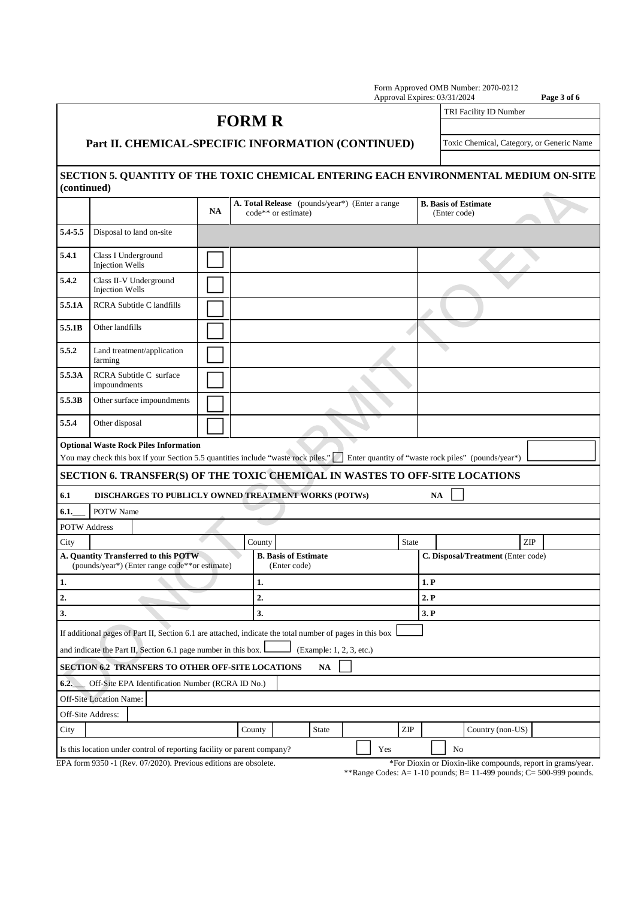|                     |                                                                                                                                   |           |                                                                       |                          |                                                     | Form Approved OMB Number: 2070-0212<br>Approval Expires: 03/31/2024 | Page 3 of 6                                                                          |
|---------------------|-----------------------------------------------------------------------------------------------------------------------------------|-----------|-----------------------------------------------------------------------|--------------------------|-----------------------------------------------------|---------------------------------------------------------------------|--------------------------------------------------------------------------------------|
|                     |                                                                                                                                   |           | <b>FORM R</b>                                                         |                          |                                                     |                                                                     | TRI Facility ID Number                                                               |
|                     |                                                                                                                                   |           |                                                                       |                          |                                                     |                                                                     |                                                                                      |
|                     | Part II. CHEMICAL-SPECIFIC INFORMATION (CONTINUED)                                                                                |           | Toxic Chemical, Category, or Generic Name                             |                          |                                                     |                                                                     |                                                                                      |
|                     |                                                                                                                                   |           |                                                                       |                          |                                                     |                                                                     |                                                                                      |
| (continued)         |                                                                                                                                   |           |                                                                       |                          |                                                     |                                                                     | SECTION 5. QUANTITY OF THE TOXIC CHEMICAL ENTERING EACH ENVIRONMENTAL MEDIUM ON-SITE |
|                     |                                                                                                                                   | <b>NA</b> | A. Total Release (pounds/year*) (Enter a range<br>code** or estimate) |                          |                                                     | <b>B.</b> Basis of Estimate<br>(Enter code)                         |                                                                                      |
| 5.4-5.5             | Disposal to land on-site                                                                                                          |           |                                                                       |                          |                                                     |                                                                     |                                                                                      |
| 5.4.1               | Class I Underground<br><b>Injection Wells</b>                                                                                     |           |                                                                       |                          |                                                     |                                                                     |                                                                                      |
| 5.4.2               | Class II-V Underground<br><b>Injection Wells</b>                                                                                  |           |                                                                       |                          |                                                     |                                                                     |                                                                                      |
| 5.5.1A              | <b>RCRA Subtitle C landfills</b>                                                                                                  |           |                                                                       |                          |                                                     |                                                                     |                                                                                      |
| 5.5.1B              | Other landfills                                                                                                                   |           |                                                                       |                          |                                                     |                                                                     |                                                                                      |
| 5.5.2               | Land treatment/application<br>farming                                                                                             |           |                                                                       |                          |                                                     |                                                                     |                                                                                      |
| 5.5.3A              | RCRA Subtitle C surface<br>impoundments                                                                                           |           |                                                                       |                          |                                                     |                                                                     |                                                                                      |
| 5.5.3B              | Other surface impoundments                                                                                                        |           |                                                                       |                          |                                                     |                                                                     |                                                                                      |
| 5.5.4               | Other disposal                                                                                                                    |           |                                                                       |                          |                                                     |                                                                     |                                                                                      |
|                     | <b>Optional Waste Rock Piles Information</b><br>You may check this box if your Section 5.5 quantities include "waste rock piles." |           |                                                                       |                          | Enter quantity of "waste rock piles" (pounds/year*) |                                                                     |                                                                                      |
|                     | SECTION 6. TRANSFER(S) OF THE TOXIC CHEMICAL IN WASTES TO OFF-SITE LOCATIONS                                                      |           |                                                                       |                          |                                                     |                                                                     |                                                                                      |
| 6.1                 | DISCHARGES TO PUBLICLY OWNED TREATMENT WORKS (POTWs)                                                                              |           |                                                                       |                          |                                                     | <b>NA</b>                                                           |                                                                                      |
| 6.1.                | POTW Name                                                                                                                         |           |                                                                       |                          |                                                     |                                                                     |                                                                                      |
| <b>POTW Address</b> |                                                                                                                                   |           |                                                                       |                          |                                                     |                                                                     |                                                                                      |
| City                |                                                                                                                                   |           | County                                                                |                          | <b>State</b>                                        |                                                                     | ZIP                                                                                  |
|                     | A. Quantity Transferred to this POTW-<br>(pounds/year*) (Enter range code**or estimate)                                           |           | <b>B.</b> Basis of Estimate<br>(Enter code)                           |                          |                                                     |                                                                     | C. Disposal/Treatment (Enter code)                                                   |
| 1.                  |                                                                                                                                   |           | 1.                                                                    |                          |                                                     | 1. P                                                                |                                                                                      |
| 2.                  |                                                                                                                                   |           | 2.                                                                    |                          |                                                     | 2. P                                                                |                                                                                      |
| 3.                  |                                                                                                                                   |           | 3.                                                                    |                          |                                                     | 3. P                                                                |                                                                                      |
|                     | If additional pages of Part II, Section 6.1 are attached, indicate the total number of pages in this box                          |           |                                                                       |                          |                                                     |                                                                     |                                                                                      |
|                     | and indicate the Part II, Section 6.1 page number in this box.                                                                    |           |                                                                       | (Example: 1, 2, 3, etc.) |                                                     |                                                                     |                                                                                      |
|                     | SECTION 6.2 TRANSFERS TO OTHER OFF-SITE LOCATIONS                                                                                 |           |                                                                       | <b>NA</b>                |                                                     |                                                                     |                                                                                      |
| 6.2.                | Off-Site EPA Identification Number (RCRA ID No.)                                                                                  |           |                                                                       |                          |                                                     |                                                                     |                                                                                      |
|                     | <b>Off-Site Location Name:</b>                                                                                                    |           |                                                                       |                          |                                                     |                                                                     |                                                                                      |
|                     | Off-Site Address:                                                                                                                 |           |                                                                       |                          |                                                     |                                                                     |                                                                                      |
| City                |                                                                                                                                   |           | County                                                                | <b>State</b>             | ZIP                                                 |                                                                     | Country (non-US)                                                                     |
|                     | Is this location under control of reporting facility or parent company?                                                           |           |                                                                       |                          | Yes                                                 | No                                                                  |                                                                                      |
|                     | EPA form 9350 -1 (Rev. 07/2020). Previous editions are obsolete.                                                                  |           |                                                                       |                          |                                                     |                                                                     | *For Dioxin or Dioxin-like compounds, report in grams/year.                          |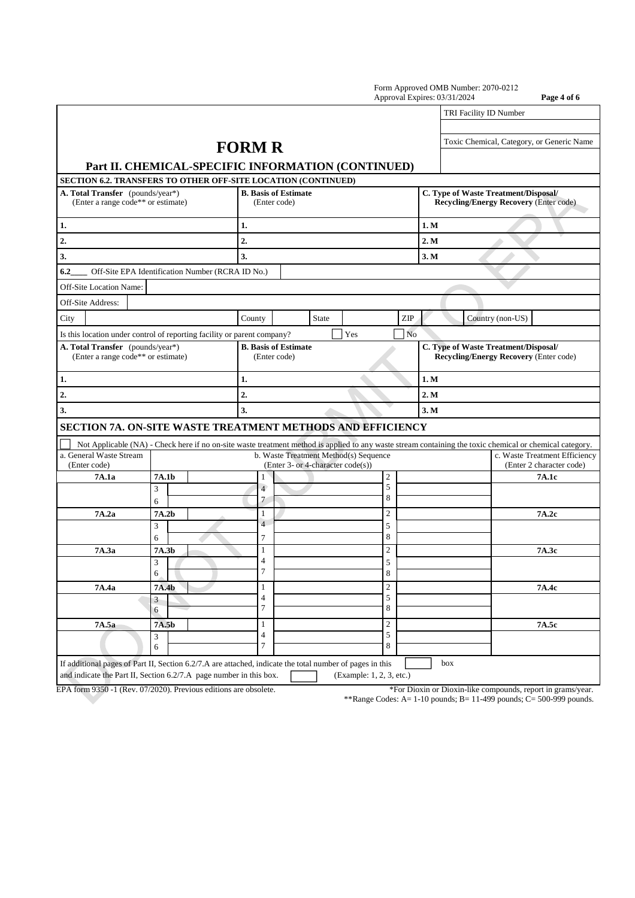|                                                                                                                                                          |                             |                                                                            |                          | Approval Expires: 03/31/2024 |                                                           | Page 4 of 6 |  |
|----------------------------------------------------------------------------------------------------------------------------------------------------------|-----------------------------|----------------------------------------------------------------------------|--------------------------|------------------------------|-----------------------------------------------------------|-------------|--|
|                                                                                                                                                          |                             |                                                                            |                          |                              | TRI Facility ID Number                                    |             |  |
|                                                                                                                                                          |                             |                                                                            |                          |                              |                                                           |             |  |
|                                                                                                                                                          | <b>FORM R</b>               |                                                                            |                          |                              | Toxic Chemical, Category, or Generic Name                 |             |  |
| Part II. CHEMICAL-SPECIFIC INFORMATION (CONTINUED)                                                                                                       |                             |                                                                            |                          |                              |                                                           |             |  |
| SECTION 6.2. TRANSFERS TO OTHER OFF-SITE LOCATION (CONTINUED)                                                                                            |                             |                                                                            |                          |                              |                                                           |             |  |
| A. Total Transfer (pounds/year*)                                                                                                                         | <b>B.</b> Basis of Estimate |                                                                            |                          |                              | C. Type of Waste Treatment/Disposal/                      |             |  |
| (Enter a range code** or estimate)                                                                                                                       | (Enter code)                |                                                                            |                          |                              | <b>Recycling/Energy Recovery (Enter code)</b>             |             |  |
| 1.                                                                                                                                                       | 1.                          |                                                                            |                          | 1. M                         |                                                           |             |  |
| 2.                                                                                                                                                       | $\overline{2}$              |                                                                            |                          | 2. M                         |                                                           |             |  |
| 3.                                                                                                                                                       | 3.                          |                                                                            |                          | 3. M                         |                                                           |             |  |
| Off-Site EPA Identification Number (RCRA ID No.)<br>6.2                                                                                                  |                             |                                                                            |                          |                              |                                                           |             |  |
| Off-Site Location Name:                                                                                                                                  |                             |                                                                            |                          |                              |                                                           |             |  |
| Off-Site Address:                                                                                                                                        |                             |                                                                            |                          |                              |                                                           |             |  |
| City                                                                                                                                                     | County                      | <b>State</b>                                                               | ZIP                      |                              | Country (non-US)                                          |             |  |
| Is this location under control of reporting facility or parent company?                                                                                  |                             | Yes                                                                        |                          | N <sub>o</sub>               |                                                           |             |  |
| A. Total Transfer (pounds/year*)                                                                                                                         | <b>B.</b> Basis of Estimate |                                                                            |                          |                              | C. Type of Waste Treatment/Disposal/                      |             |  |
| (Enter a range code** or estimate)                                                                                                                       | (Enter code)                |                                                                            |                          |                              | <b>Recycling/Energy Recovery (Enter code)</b>             |             |  |
| 1.                                                                                                                                                       | 1.                          |                                                                            |                          | 1. M                         |                                                           |             |  |
| 2.                                                                                                                                                       | $\overline{2}$              |                                                                            |                          | 2. M                         |                                                           |             |  |
| 3.                                                                                                                                                       | 3.                          |                                                                            |                          | 3. M                         |                                                           |             |  |
| SECTION 7A. ON-SITE WASTE TREATMENT METHODS AND EFFICIENCY                                                                                               |                             |                                                                            |                          |                              |                                                           |             |  |
| Not Applicable (NA) - Check here if no on-site waste treatment method is applied to any waste stream containing the toxic chemical or chemical category. |                             |                                                                            |                          |                              |                                                           |             |  |
| a. General Waste Stream<br>(Enter code)                                                                                                                  |                             | b. Waste Treatment Method(s) Sequence<br>(Enter 3- or 4-character code(s)) |                          |                              | c. Waste Treatment Efficiency<br>(Enter 2 character code) |             |  |
| 7A.1a<br>7A.1b                                                                                                                                           | 1                           |                                                                            | $\overline{2}$           |                              | 7A.1c                                                     |             |  |
| 3                                                                                                                                                        | $\overline{4}$              |                                                                            | 5                        |                              |                                                           |             |  |
| 6                                                                                                                                                        | 7                           |                                                                            | 8                        |                              |                                                           |             |  |
| 7A.2a<br>7A.2b                                                                                                                                           | 1<br>$\overline{4}$         |                                                                            | $\overline{2}$           |                              | 7A.2c                                                     |             |  |
| 3<br>6                                                                                                                                                   | 7                           |                                                                            | 5<br>8                   |                              |                                                           |             |  |
| 7A.3a<br>7A.3b                                                                                                                                           | 1                           |                                                                            | $\overline{2}$           |                              | 7A.3c                                                     |             |  |
| 3                                                                                                                                                        | $\overline{4}$              |                                                                            | 5                        |                              |                                                           |             |  |
| 6                                                                                                                                                        | 7                           |                                                                            | ŏ                        |                              |                                                           |             |  |
| 7A.4a<br>7A.4b                                                                                                                                           | 1                           |                                                                            | $\sqrt{2}$               |                              | 7A.4c                                                     |             |  |
| 3<br>6                                                                                                                                                   | $\overline{4}$<br>$\tau$    |                                                                            | 5<br>8                   |                              |                                                           |             |  |
| 7A.5a<br>7A.5b                                                                                                                                           | $\mathbf{1}$                |                                                                            | $\sqrt{2}$               |                              | 7A.5c                                                     |             |  |
| 3                                                                                                                                                        | $\overline{\mathcal{L}}$    |                                                                            | 5                        |                              |                                                           |             |  |
| 6                                                                                                                                                        | $\overline{7}$              |                                                                            | 8                        |                              |                                                           |             |  |
| If additional pages of Part II, Section 6.2/7.A are attached, indicate the total number of pages in this                                                 |                             |                                                                            |                          | box                          |                                                           |             |  |
| and indicate the Part II, Section 6.2/7.A page number in this box.                                                                                       |                             |                                                                            | (Example: 1, 2, 3, etc.) |                              |                                                           |             |  |

EPA form 9350 -1 (Rev. 07/2020). Previous editions are obsolete. \*For Dioxin or Dioxin-like compounds, report in grams/year.

\*\*Range Codes: A=  $1-10$  pounds; B=  $11-499$  pounds; C= 500-999 pounds.

Form Approved OMB Number: 2070-0212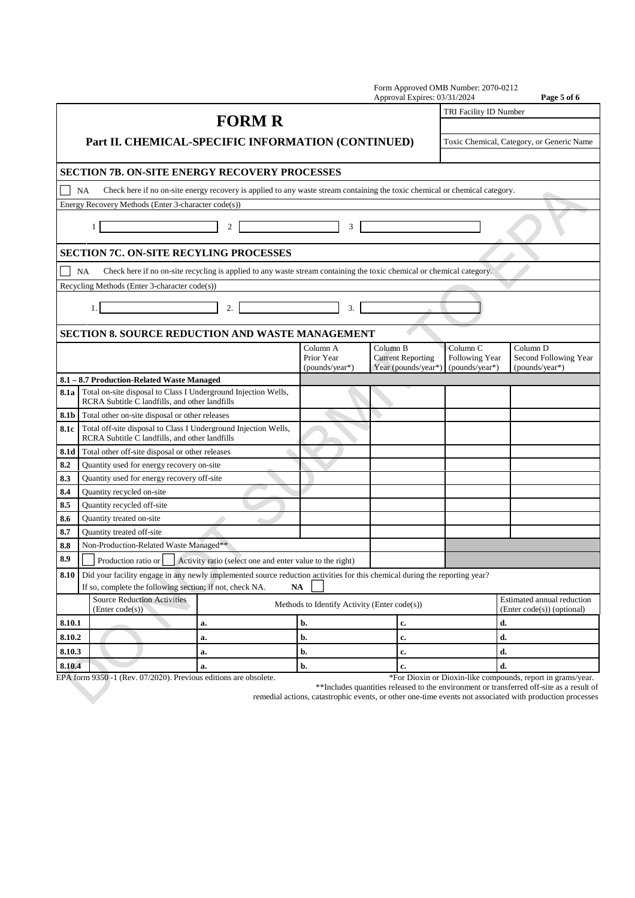| TRI Facility ID Number<br><b>FORM R</b><br>Part II. CHEMICAL-SPECIFIC INFORMATION (CONTINUED)<br>Toxic Chemical, Category, or Generic Name                                                                  |                                                          |  |
|-------------------------------------------------------------------------------------------------------------------------------------------------------------------------------------------------------------|----------------------------------------------------------|--|
|                                                                                                                                                                                                             |                                                          |  |
|                                                                                                                                                                                                             |                                                          |  |
|                                                                                                                                                                                                             |                                                          |  |
| <b>SECTION 7B. ON-SITE ENERGY RECOVERY PROCESSES</b>                                                                                                                                                        |                                                          |  |
| Check here if no on-site energy recovery is applied to any waste stream containing the toxic chemical or chemical category.<br><b>NA</b>                                                                    |                                                          |  |
| Energy Recovery Methods (Enter 3-character code(s))                                                                                                                                                         |                                                          |  |
| $\overline{2}$<br>3<br>$\mathbf{1}$                                                                                                                                                                         |                                                          |  |
| <b>SECTION 7C. ON-SITE RECYLING PROCESSES</b>                                                                                                                                                               |                                                          |  |
| Check here if no on-site recycling is applied to any waste stream containing the toxic chemical or chemical category.<br>NA                                                                                 |                                                          |  |
| Recycling Methods (Enter 3-character code(s))                                                                                                                                                               |                                                          |  |
| 2.<br>3.<br>1.                                                                                                                                                                                              |                                                          |  |
| <b>SECTION 8. SOURCE REDUCTION AND WASTE MANAGEMENT</b>                                                                                                                                                     |                                                          |  |
| Column A<br>Column B<br>Column <sub>C</sub><br>Column <sub>D</sub><br><b>Current Reporting</b><br>Following Year<br>Prior Year<br>Year (pounds/year*)<br>(pounds/year*)<br>(pounds/year*)                   | Second Following Year<br>(pounds/year*)                  |  |
| 8.1 - 8.7 Production-Related Waste Managed                                                                                                                                                                  |                                                          |  |
| 8.1a   Total on-site disposal to Class I Underground Injection Wells,<br>RCRA Subtitle C landfills, and other landfills                                                                                     |                                                          |  |
| <b>8.1b</b> Total other on-site disposal or other releases                                                                                                                                                  |                                                          |  |
| Total off-site disposal to Class I Underground Injection Wells,<br>8.1c<br>RCRA Subtitle C landfills, and other landfills                                                                                   |                                                          |  |
| 8.1d<br>Total other off-site disposal or other releases                                                                                                                                                     |                                                          |  |
| 8.2<br>Quantity used for energy recovery on-site                                                                                                                                                            |                                                          |  |
| 8.3<br>Quantity used for energy recovery off-site                                                                                                                                                           |                                                          |  |
| 8.4<br>Quantity recycled on-site                                                                                                                                                                            |                                                          |  |
| Quantity recycled off-site<br>8.5                                                                                                                                                                           |                                                          |  |
| Quantity treated on-site<br>8.6                                                                                                                                                                             |                                                          |  |
| 8.7<br><b>Ouantity treated off-site</b>                                                                                                                                                                     |                                                          |  |
| Non-Production-Related Waste Managed**<br>8.8<br>$\Box$<br>$\Box$                                                                                                                                           |                                                          |  |
| 8.9<br>Production ratio or<br>Activity ratio (select one and enter value to the right)                                                                                                                      |                                                          |  |
| Did your facility engage in any newly implemented source reduction activities for this chemical during the reporting year?<br>8.10<br>If so, complete the following section; if not, check NA.<br><b>NA</b> |                                                          |  |
| <b>Source Reduction Activities</b><br>Methods to Identify Activity (Enter code(s))<br>(Enter code(s))                                                                                                       | Estimated annual reduction<br>(Enter code(s)) (optional) |  |
| d.<br>8.10.1<br>b.<br>a.<br>c.                                                                                                                                                                              |                                                          |  |
| d.<br>8.10.2<br>b.<br>c.<br>a.                                                                                                                                                                              |                                                          |  |
| 8.10.3<br>d.<br>b.<br>c.<br>a.                                                                                                                                                                              |                                                          |  |
| d.<br>8.10.4<br>b.<br>c.<br>a.                                                                                                                                                                              |                                                          |  |

EPA form 9350 -1 (Rev. 07/2020). Previous editions are obsolete. \*For Dioxin or Dioxin-like compounds, report in grams/year.

\*\*Includes quantities released to the environment or transferred off-site as a result of remedial actions, catastrophic events, or other one-time events not associated with production processes